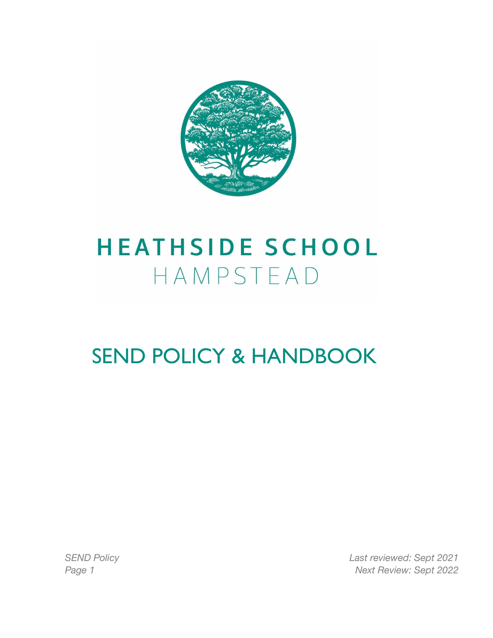

# **HEATHSIDE SCHOOL** HAMPSTEAD

# SEND POLICY & HANDBOOK

*SEND Policy Last reviewed: Sept 2021 Page 1 Next Review: Sept 2022*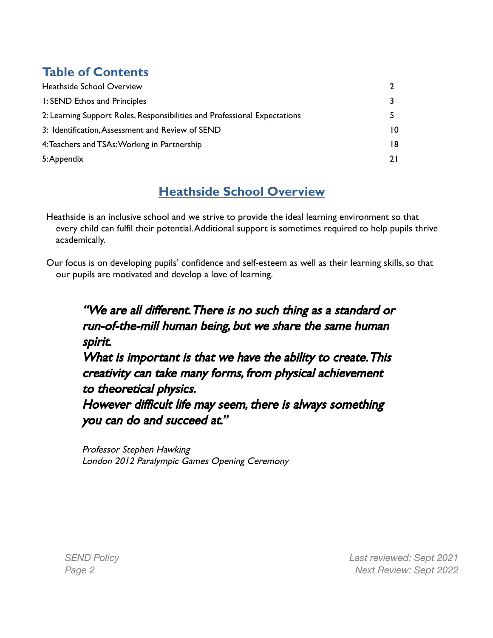# **Table of Contents**

| <b>Heathside School Overview</b>                                          |    |
|---------------------------------------------------------------------------|----|
| I: SEND Ethos and Principles                                              |    |
| 2: Learning Support Roles, Responsibilities and Professional Expectations |    |
| 3: Identification, Assessment and Review of SEND                          | 10 |
| 4: Teachers and TSAs: Working in Partnership                              | 18 |
| 5: Appendix                                                               |    |

### **Heathside School Overview**

Heathside is an inclusive school and we strive to provide the ideal learning environment so that every child can fulfil their potential.Additional support is sometimes required to help pupils thrive academically.

Our focus is on developing pupils' confidence and self-esteem as well as their learning skills, so that our pupils are motivated and develop a love of learning.

"We are all different.There is no such thing as <sup>a</sup> standard or run-of-the-mill human being, but we share the same human spirit. What is important is that we have the ability to create. This creativity can take many forms, from physical achievement to theoretical physics. However difficult life may seem, there is always something you can do and succeed at."

Professor Stephen Hawking London 2012 Paralympic Games Opening Ceremony

*SEND Policy Last reviewed: Sept 2021 Page 2 Next Review: Sept 2022*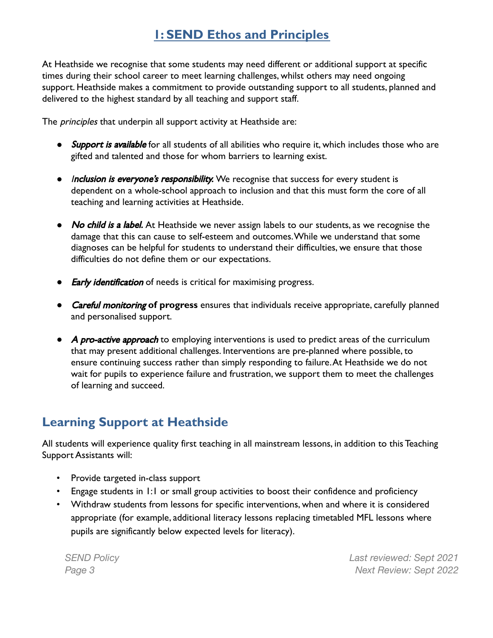# **1: SEND Ethos and Principles**

At Heathside we recognise that some students may need different or additional support at specific times during their school career to meet learning challenges, whilst others may need ongoing support. Heathside makes a commitment to provide outstanding support to all students, planned and delivered to the highest standard by all teaching and support staff.

The *principles* that underpin all support activity at Heathside are:

- Support is available for all students of all abilities who require it, which includes those who are gifted and talented and those for whom barriers to learning exist.
- Inclusion is everyone's responsibility. We recognise that success for every student is dependent on a whole-school approach to inclusion and that this must form the core of all teaching and learning activities at Heathside.
- No child is a label. At Heathside we never assign labels to our students, as we recognise the damage that this can cause to self-esteem and outcomes.While we understand that some diagnoses can be helpful for students to understand their difficulties, we ensure that those difficulties do not define them or our expectations.
- **Early identification** of needs is critical for maximising progress.
- Careful monitoring **of progress** ensures that individuals receive appropriate, carefully planned and personalised support.
- A pro-active approach to employing interventions is used to predict areas of the curriculum that may present additional challenges. Interventions are pre-planned where possible, to ensure continuing success rather than simply responding to failure.At Heathside we do not wait for pupils to experience failure and frustration, we support them to meet the challenges of learning and succeed.

# **Learning Support at Heathside**

All students will experience quality first teaching in all mainstream lessons, in addition to this Teaching Support Assistants will:

- Provide targeted in-class support
- Engage students in 1:1 or small group activities to boost their confidence and proficiency
- Withdraw students from lessons for specific interventions, when and where it is considered appropriate (for example, additional literacy lessons replacing timetabled MFL lessons where pupils are significantly below expected levels for literacy).

*SEND Policy Last reviewed: Sept 2021 Page 3 Next Review: Sept 2022*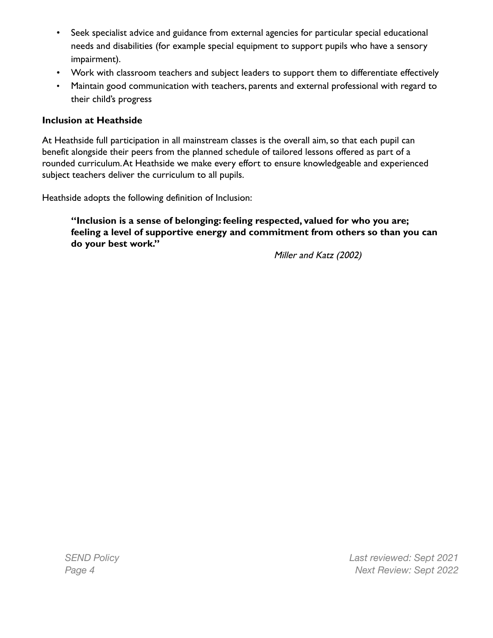- Seek specialist advice and guidance from external agencies for particular special educational needs and disabilities (for example special equipment to support pupils who have a sensory impairment).
- Work with classroom teachers and subject leaders to support them to differentiate effectively
- Maintain good communication with teachers, parents and external professional with regard to their child's progress

#### **Inclusion at Heathside**

At Heathside full participation in all mainstream classes is the overall aim, so that each pupil can benefit alongside their peers from the planned schedule of tailored lessons offered as part of a rounded curriculum.At Heathside we make every effort to ensure knowledgeable and experienced subject teachers deliver the curriculum to all pupils.

Heathside adopts the following definition of Inclusion:

**"Inclusion is a sense of belonging: feeling respected, valued for who you are; feeling a level of supportive energy and commitment from others so than you can do your best work."**

Miller and Katz (2002)

*SEND Policy Last reviewed: Sept 2021 Page 4 Next Review: Sept 2022*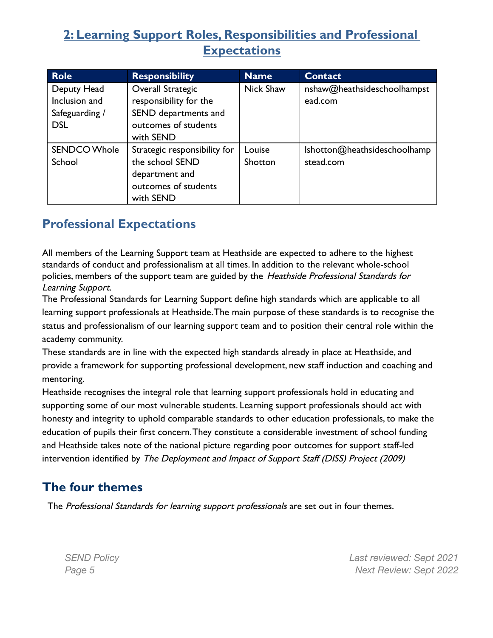# **2: Learning Support Roles, Responsibilities and Professional Expectations**

| <b>Role</b>         | <b>Responsibility</b>        | <b>Name</b>      | <b>Contact</b>               |
|---------------------|------------------------------|------------------|------------------------------|
| Deputy Head         | Overall Strategic            | <b>Nick Shaw</b> | nshaw@heathsideschoolhampst  |
| Inclusion and       | responsibility for the       |                  | ead.com                      |
| Safeguarding /      | SEND departments and         |                  |                              |
| <b>DSL</b>          | outcomes of students         |                  |                              |
|                     | with SEND                    |                  |                              |
| <b>SENDCO Whole</b> | Strategic responsibility for | Louise           | Ishotton@heathsideschoolhamp |
| School              | the school SEND              | Shotton          | stead.com                    |
|                     | department and               |                  |                              |
|                     | outcomes of students         |                  |                              |
|                     | with SEND                    |                  |                              |

#### **Professional Expectations**

All members of the Learning Support team at Heathside are expected to adhere to the highest standards of conduct and professionalism at all times. In addition to the relevant whole-school policies, members of the support team are guided by the Heathside Professional Standards for Learning Support.

The Professional Standards for Learning Support define high standards which are applicable to all learning support professionals at Heathside.The main purpose of these standards is to recognise the status and professionalism of our learning support team and to position their central role within the academy community.

These standards are in line with the expected high standards already in place at Heathside, and provide a framework for supporting professional development, new staff induction and coaching and mentoring.

Heathside recognises the integral role that learning support professionals hold in educating and supporting some of our most vulnerable students. Learning support professionals should act with honesty and integrity to uphold comparable standards to other education professionals, to make the education of pupils their first concern.They constitute a considerable investment of school funding and Heathside takes note of the national picture regarding poor outcomes for support staff-led intervention identified by The Deployment and Impact of Support Staff (DISS) Project (2009)

#### **The four themes**

The Professional Standards for learning support professionals are set out in four themes.

*SEND Policy Last reviewed: Sept 2021 Page 5 Next Review: Sept 2022*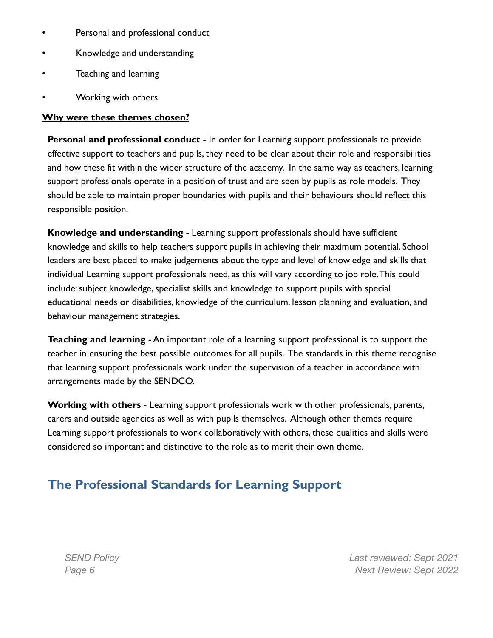- Personal and professional conduct
- Knowledge and understanding
- Teaching and learning
- Working with others

#### **Why were these themes chosen?**

**Personal and professional conduct -** In order for Learning support professionals to provide effective support to teachers and pupils, they need to be clear about their role and responsibilities and how these fit within the wider structure of the academy. In the same way as teachers, learning support professionals operate in a position of trust and are seen by pupils as role models. They should be able to maintain proper boundaries with pupils and their behaviours should reflect this responsible position.

**Knowledge and understanding** - Learning support professionals should have sufficient knowledge and skills to help teachers support pupils in achieving their maximum potential. School leaders are best placed to make judgements about the type and level of knowledge and skills that individual Learning support professionals need, as this will vary according to job role.This could include: subject knowledge, specialist skills and knowledge to support pupils with special educational needs or disabilities, knowledge of the curriculum, lesson planning and evaluation, and behaviour management strategies.

**Teaching and learning** - An important role of a learning support professional is to support the teacher in ensuring the best possible outcomes for all pupils. The standards in this theme recognise that learning support professionals work under the supervision of a teacher in accordance with arrangements made by the SENDCO.

**Working with others** - Learning support professionals work with other professionals, parents, carers and outside agencies as well as with pupils themselves. Although other themes require Learning support professionals to work collaboratively with others, these qualities and skills were considered so important and distinctive to the role as to merit their own theme.

### **The Professional Standards for Learning Support**

*SEND Policy Last reviewed: Sept 2021 Page 6 Next Review: Sept 2022*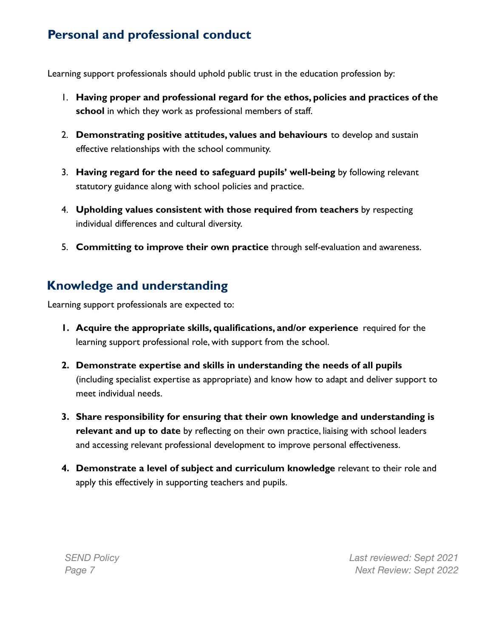### **Personal and professional conduct**

Learning support professionals should uphold public trust in the education profession by:

- 1. **Having proper and professional regard for the ethos, policies and practices of the school** in which they work as professional members of staff.
- 2. **Demonstrating positive attitudes, values and behaviours** to develop and sustain effective relationships with the school community.
- 3. **Having regard for the need to safeguard pupils' well-being** by following relevant statutory guidance along with school policies and practice.
- 4. **Upholding values consistent with those required from teachers** by respecting individual differences and cultural diversity.
- 5. **Committing to improve their own practice** through self-evaluation and awareness.

## **Knowledge and understanding**

Learning support professionals are expected to:

- **1. Acquire the appropriate skills, qualifications, and/or experience** required for the learning support professional role, with support from the school.
- **2. Demonstrate expertise and skills in understanding the needs of all pupils** (including specialist expertise as appropriate) and know how to adapt and deliver support to meet individual needs.
- **3. Share responsibility for ensuring that their own knowledge and understanding is relevant and up to date** by reflecting on their own practice, liaising with school leaders and accessing relevant professional development to improve personal effectiveness.
- **4. Demonstrate a level of subject and curriculum knowledge** relevant to their role and apply this effectively in supporting teachers and pupils.

*SEND Policy Last reviewed: Sept 2021 Page 7 Next Review: Sept 2022*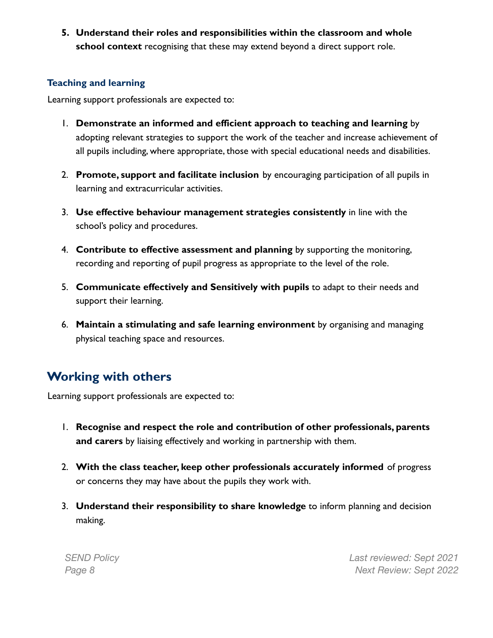**5. Understand their roles and responsibilities within the classroom and whole school context** recognising that these may extend beyond a direct support role.

#### **Teaching and learning**

Learning support professionals are expected to:

- 1. **Demonstrate an informed and efficient approach to teaching and learning** by adopting relevant strategies to support the work of the teacher and increase achievement of all pupils including, where appropriate, those with special educational needs and disabilities.
- 2. **Promote, support and facilitate inclusion** by encouraging participation of all pupils in learning and extracurricular activities.
- 3. **Use effective behaviour management strategies consistently** in line with the school's policy and procedures.
- 4. **Contribute to effective assessment and planning** by supporting the monitoring, recording and reporting of pupil progress as appropriate to the level of the role.
- 5. **Communicate effectively and Sensitively with pupils** to adapt to their needs and support their learning.
- 6. **Maintain a stimulating and safe learning environment** by organising and managing physical teaching space and resources.

# **Working with others**

Learning support professionals are expected to:

- 1. **Recognise and respect the role and contribution of other professionals, parents and carers** by liaising effectively and working in partnership with them.
- 2. **With the class teacher, keep other professionals accurately informed** of progress or concerns they may have about the pupils they work with.
- 3. **Understand their responsibility to share knowledge** to inform planning and decision making.

*SEND Policy Last reviewed: Sept 2021 Page 8 Next Review: Sept 2022*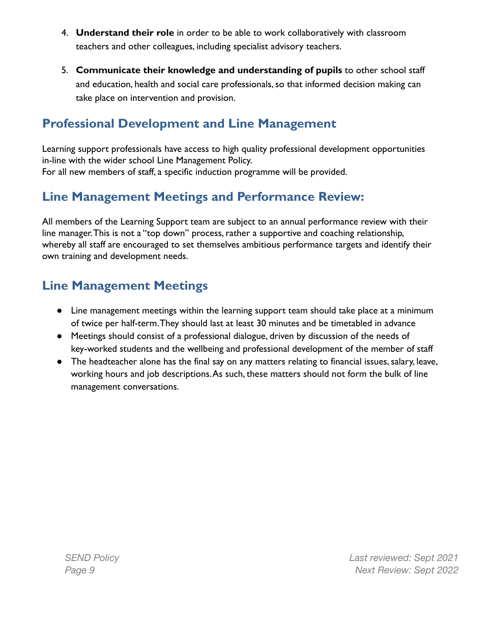- 4. **Understand their role** in order to be able to work collaboratively with classroom teachers and other colleagues, including specialist advisory teachers.
- 5. **Communicate their knowledge and understanding of pupils** to other school staff and education, health and social care professionals, so that informed decision making can take place on intervention and provision.

### **Professional Development and Line Management**

Learning support professionals have access to high quality professional development opportunities in-line with the wider school Line Management Policy. For all new members of staff, a specific induction programme will be provided.

### **Line Management Meetings and Performance Review:**

All members of the Learning Support team are subject to an annual performance review with their line manager.This is not a "top down" process, rather a supportive and coaching relationship, whereby all staff are encouraged to set themselves ambitious performance targets and identify their own training and development needs.

### **Line Management Meetings**

- Line management meetings within the learning support team should take place at a minimum of twice per half-term.They should last at least 30 minutes and be timetabled in advance
- Meetings should consist of a professional dialogue, driven by discussion of the needs of key-worked students and the wellbeing and professional development of the member of staff
- The headteacher alone has the final say on any matters relating to financial issues, salary, leave, working hours and job descriptions.As such, these matters should not form the bulk of line management conversations.

*SEND Policy Last reviewed: Sept 2021 Page 9 Next Review: Sept 2022*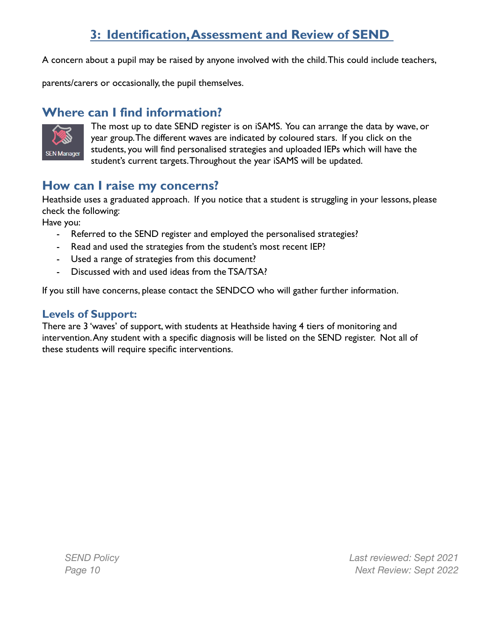# **3: Identification,Assessment and Review of SEND**

A concern about a pupil may be raised by anyone involved with the child.This could include teachers,

parents/carers or occasionally, the pupil themselves.

## **Where can I find information?**



The most up to date SEND register is on iSAMS. You can arrange the data by wave, or year group.The different waves are indicated by coloured stars. If you click on the students, you will find personalised strategies and uploaded IEPs which will have the student's current targets.Throughout the year iSAMS will be updated.

#### **How can I raise my concerns?**

Heathside uses a graduated approach. If you notice that a student is struggling in your lessons, please check the following:

Have you:

- Referred to the SEND register and employed the personalised strategies?
- Read and used the strategies from the student's most recent IEP?
- Used a range of strategies from this document?
- Discussed with and used ideas from the TSA/TSA?

If you still have concerns, please contact the SENDCO who will gather further information.

#### **Levels of Support:**

There are 3 'waves' of support, with students at Heathside having 4 tiers of monitoring and intervention.Any student with a specific diagnosis will be listed on the SEND register. Not all of these students will require specific interventions.

*SEND Policy Last reviewed: Sept 2021 Page 10 Next Review: Sept 2022*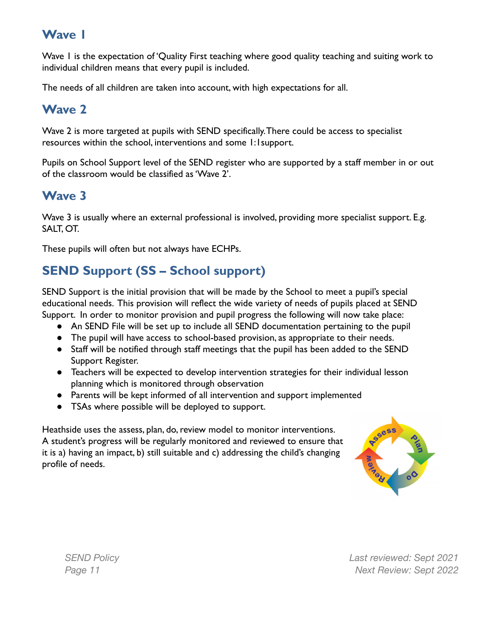#### **Wave 1**

Wave I is the expectation of 'Quality First teaching where good quality teaching and suiting work to individual children means that every pupil is included.

The needs of all children are taken into account, with high expectations for all.

#### **Wave 2**

Wave 2 is more targeted at pupils with SEND specifically.There could be access to specialist resources within the school, interventions and some 1:1support.

Pupils on School Support level of the SEND register who are supported by a staff member in or out of the classroom would be classified as 'Wave 2'.

#### **Wave 3**

Wave 3 is usually where an external professional is involved, providing more specialist support. E.g. SALT, OT.

These pupils will often but not always have ECHPs.

# **SEND Support (SS – School support)**

SEND Support is the initial provision that will be made by the School to meet a pupil's special educational needs. This provision will reflect the wide variety of needs of pupils placed at SEND Support. In order to monitor provision and pupil progress the following will now take place:

- An SEND File will be set up to include all SEND documentation pertaining to the pupil
- The pupil will have access to school-based provision, as appropriate to their needs.
- Staff will be notified through staff meetings that the pupil has been added to the SEND Support Register.
- Teachers will be expected to develop intervention strategies for their individual lesson planning which is monitored through observation
- Parents will be kept informed of all intervention and support implemented
- TSAs where possible will be deployed to support.

Heathside uses the assess, plan, do, review model to monitor interventions. A student's progress will be regularly monitored and reviewed to ensure that it is a) having an impact, b) still suitable and c) addressing the child's changing profile of needs.



*SEND Policy Last reviewed: Sept 2021 Page 11 Next Review: Sept 2022*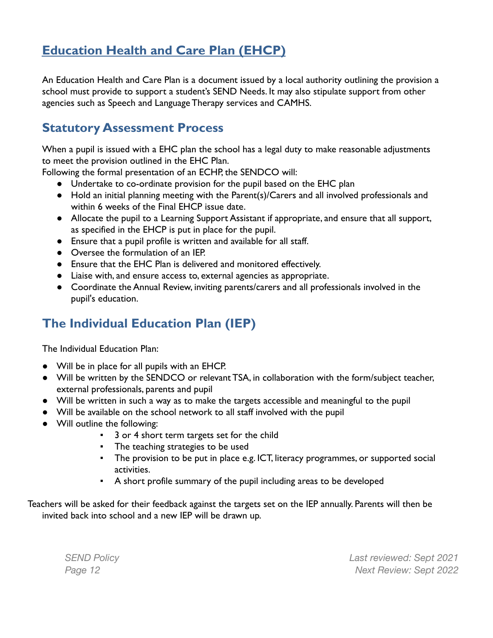# **Education Health and Care Plan (EHCP)**

An Education Health and Care Plan is a document issued by a local authority outlining the provision a school must provide to support a student's SEND Needs. It may also stipulate support from other agencies such as Speech and Language Therapy services and CAMHS.

# **Statutory Assessment Process**

When a pupil is issued with a EHC plan the school has a legal duty to make reasonable adjustments to meet the provision outlined in the EHC Plan.

Following the formal presentation of an ECHP, the SENDCO will:

- Undertake to co-ordinate provision for the pupil based on the EHC plan
- Hold an initial planning meeting with the Parent(s)/Carers and all involved professionals and within 6 weeks of the Final EHCP issue date.
- Allocate the pupil to a Learning Support Assistant if appropriate, and ensure that all support, as specified in the EHCP is put in place for the pupil.
- Ensure that a pupil profile is written and available for all staff.
- Oversee the formulation of an IEP.
- Ensure that the EHC Plan is delivered and monitored effectively.
- Liaise with, and ensure access to, external agencies as appropriate.
- Coordinate the Annual Review, inviting parents/carers and all professionals involved in the pupil's education.

# **The Individual Education Plan (IEP)**

The Individual Education Plan:

- Will be in place for all pupils with an EHCP.
- Will be written by the SENDCO or relevant TSA, in collaboration with the form/subject teacher, external professionals, parents and pupil
- Will be written in such a way as to make the targets accessible and meaningful to the pupil
- Will be available on the school network to all staff involved with the pupil
- Will outline the following:
	- 3 or 4 short term targets set for the child
	- **•** The teaching strategies to be used
	- The provision to be put in place e.g. ICT, literacy programmes, or supported social activities.
	- A short profile summary of the pupil including areas to be developed

Teachers will be asked for their feedback against the targets set on the IEP annually. Parents will then be invited back into school and a new IEP will be drawn up.

*SEND Policy Last reviewed: Sept 2021 Page 12 Next Review: Sept 2022*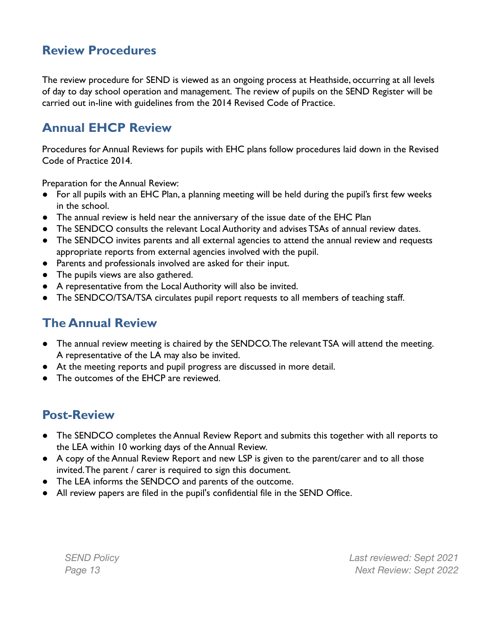#### **Review Procedures**

The review procedure for SEND is viewed as an ongoing process at Heathside, occurring at all levels of day to day school operation and management. The review of pupils on the SEND Register will be carried out in-line with guidelines from the 2014 Revised Code of Practice.

#### **Annual EHCP Review**

Procedures for Annual Reviews for pupils with EHC plans follow procedures laid down in the Revised Code of Practice 2014.

Preparation for the Annual Review:

- For all pupils with an EHC Plan, a planning meeting will be held during the pupil's first few weeks in the school.
- The annual review is held near the anniversary of the issue date of the EHC Plan
- The SENDCO consults the relevant Local Authority and advises TSAs of annual review dates.
- The SENDCO invites parents and all external agencies to attend the annual review and requests appropriate reports from external agencies involved with the pupil.
- Parents and professionals involved are asked for their input.
- The pupils views are also gathered.
- A representative from the Local Authority will also be invited.
- The SENDCO/TSA/TSA circulates pupil report requests to all members of teaching staff.

#### **The Annual Review**

- The annual review meeting is chaired by the SENDCO.The relevant TSA will attend the meeting. A representative of the LA may also be invited.
- At the meeting reports and pupil progress are discussed in more detail.
- The outcomes of the EHCP are reviewed.

#### **Post-Review**

- The SENDCO completes the Annual Review Report and submits this together with all reports to the LEA within 10 working days of the Annual Review.
- A copy of the Annual Review Report and new LSP is given to the parent/carer and to all those invited.The parent / carer is required to sign this document.
- The LEA informs the SENDCO and parents of the outcome.
- All review papers are filed in the pupil's confidential file in the SEND Office.

*SEND Policy Last reviewed: Sept 2021 Page 13 Next Review: Sept 2022*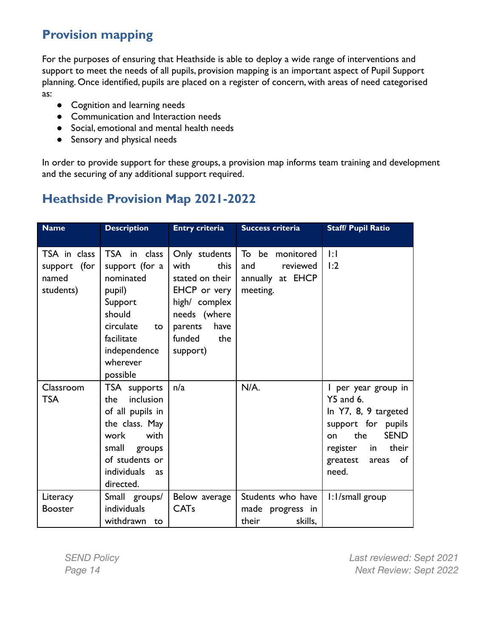### **Provision mapping**

For the purposes of ensuring that Heathside is able to deploy a wide range of interventions and support to meet the needs of all pupils, provision mapping is an important aspect of Pupil Support planning. Once identified, pupils are placed on a register of concern, with areas of need categorised as:

- Cognition and learning needs
- Communication and Interaction needs
- Social, emotional and mental health needs
- Sensory and physical needs

In order to provide support for these groups, a provision map informs team training and development and the securing of any additional support required.

# **Heathside Provision Map 2021-2022**

| <b>Name</b>                                        | <b>Description</b>                                                                                                                                                   | <b>Entry criteria</b>                                                                                                                             | <b>Success criteria</b>                                            | <b>Staff/ Pupil Ratio</b>                                                                                                                                                   |
|----------------------------------------------------|----------------------------------------------------------------------------------------------------------------------------------------------------------------------|---------------------------------------------------------------------------------------------------------------------------------------------------|--------------------------------------------------------------------|-----------------------------------------------------------------------------------------------------------------------------------------------------------------------------|
| TSA in class<br>support (for<br>named<br>students) | TSA in class<br>support (for a<br>nominated<br>pupil)<br>Support<br>should<br>circulate<br>to<br>facilitate<br>independence<br>wherever<br>possible                  | Only students<br>this<br>with<br>stated on their<br>EHCP or very<br>high/ complex<br>needs (where<br>parents<br>have<br>funded<br>the<br>support) | To be monitored<br>and<br>reviewed<br>annually at EHCP<br>meeting. | $\vert \cdot \vert$<br>1:2                                                                                                                                                  |
| Classroom<br><b>TSA</b>                            | TSA supports<br>inclusion<br>the<br>of all pupils in<br>the class. May<br>work<br>with<br>small<br>groups<br>of students or<br>individuals<br><b>as</b><br>directed. | n/a                                                                                                                                               | N/A.                                                               | I per year group in<br>$Y5$ and 6.<br>In Y7, 8, 9 targeted<br>support for pupils<br>the<br><b>SEND</b><br>on<br>their<br>register<br>in<br>greatest<br>areas<br>of<br>need. |
| Literacy<br><b>Booster</b>                         | Small groups/<br>individuals<br>withdrawn<br>to                                                                                                                      | Below average<br><b>CAT<sub>s</sub></b>                                                                                                           | Students who have<br>made progress in<br>skills,<br>their          | 1:1/small group                                                                                                                                                             |

*SEND Policy Last reviewed: Sept 2021 Page 14 Next Review: Sept 2022*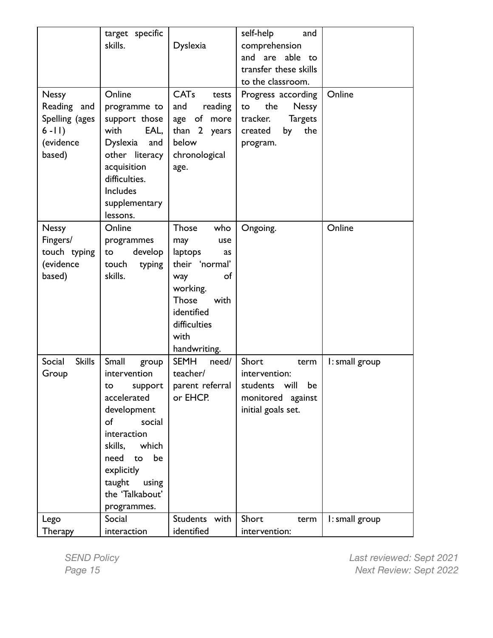| <b>Nessy</b><br>Reading and<br>Spelling (ages<br>$6 - 11$<br>(evidence<br>based) | target specific<br>skills.<br>Online<br>programme to<br>support those<br>with<br>EAL,<br>Dyslexia<br>and<br>other literacy<br>acquisition<br>difficulties.<br><b>Includes</b><br>supplementary<br>lessons.        | <b>Dyslexia</b><br><b>CATs</b><br>tests<br>and<br>reading<br>age of more<br>than 2 years<br>below<br>chronological<br>age.                                                  | self-help<br>and<br>comprehension<br>and are able to<br>transfer these skills<br>to the classroom.<br>Progress according<br>the<br><b>Nessy</b><br>to<br>tracker.<br><b>Targets</b><br>by<br>created<br>the<br>program. | Online         |
|----------------------------------------------------------------------------------|-------------------------------------------------------------------------------------------------------------------------------------------------------------------------------------------------------------------|-----------------------------------------------------------------------------------------------------------------------------------------------------------------------------|-------------------------------------------------------------------------------------------------------------------------------------------------------------------------------------------------------------------------|----------------|
| <b>Nessy</b><br>Fingers/<br>touch typing<br>(evidence<br>based)                  | Online<br>programmes<br>develop<br>to<br>touch<br>typing<br>skills.                                                                                                                                               | <b>Those</b><br>who<br>may<br>use<br>laptops<br>as<br>their 'normal'<br>of<br>way<br>working.<br><b>Those</b><br>with<br>identified<br>difficulties<br>with<br>handwriting. | Ongoing.                                                                                                                                                                                                                | Online         |
| Social<br><b>Skills</b><br>Group                                                 | Small<br>group<br>intervention<br>to support<br>accelerated<br>development<br>social<br>of<br>interaction<br>which<br>skills,<br>need to<br>be<br>explicitly<br>using<br>taught<br>the 'Talkabout'<br>programmes. | <b>SEMH</b><br>need/<br>teacher/<br>or EHCP.                                                                                                                                | Short<br>term<br>intervention:<br>parent referral   students will be<br>monitored against<br>initial goals set.                                                                                                         | I: small group |
| Lego<br>Therapy                                                                  | Social<br>interaction                                                                                                                                                                                             | Students with<br>identified                                                                                                                                                 | Short<br>term<br>intervention:                                                                                                                                                                                          | I: small group |

*SEND Policy Last reviewed: Sept 2021 Page 15 Next Review: Sept 2022*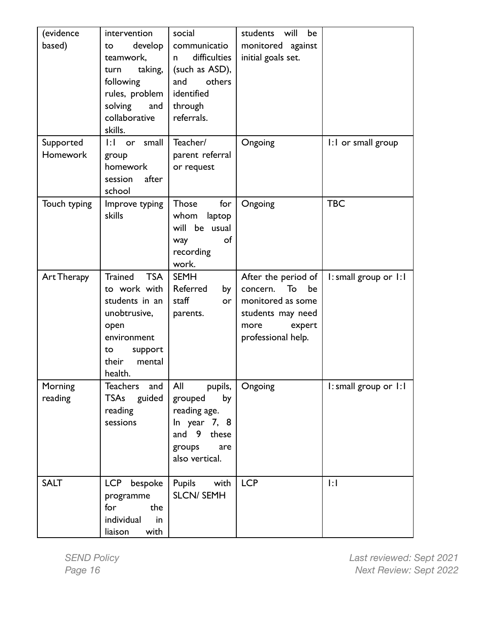| 1:1 or small group     |
|------------------------|
|                        |
|                        |
|                        |
|                        |
|                        |
|                        |
|                        |
|                        |
|                        |
|                        |
| I: small group or I: I |
|                        |
|                        |
|                        |
|                        |
|                        |
|                        |
|                        |
|                        |
| I: small group or I: I |
|                        |
|                        |
|                        |
|                        |
|                        |
|                        |
|                        |
|                        |
|                        |
|                        |
|                        |
|                        |

*SEND Policy Last reviewed: Sept 2021 Page 16 Next Review: Sept 2022*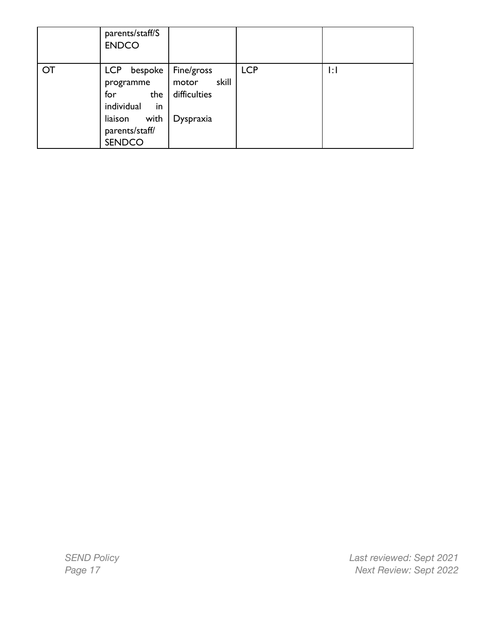|           | parents/staff/S<br><b>ENDCO</b>                                                                                            |                                                           |            |     |
|-----------|----------------------------------------------------------------------------------------------------------------------------|-----------------------------------------------------------|------------|-----|
| <b>OT</b> | <b>LCP</b><br>bespoke<br>programme<br>the<br>for<br>individual<br>in<br>with<br>liaison<br>parents/staff/<br><b>SENDCO</b> | Fine/gross<br>skill<br>motor<br>difficulties<br>Dyspraxia | <b>LCP</b> | l:I |

*SEND Policy Last reviewed: Sept 2021 Page 17 Next Review: Sept 2022*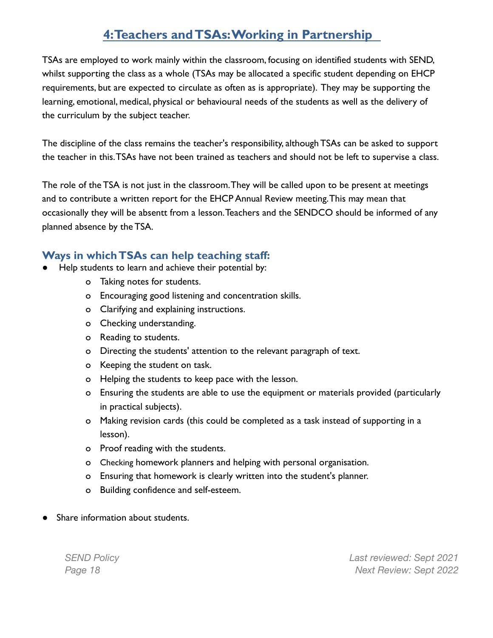# **4:Teachers andTSAs:Working in Partnership**

TSAs are employed to work mainly within the classroom, focusing on identified students with SEND, whilst supporting the class as a whole (TSAs may be allocated a specific student depending on EHCP requirements, but are expected to circulate as often as is appropriate). They may be supporting the learning, emotional, medical, physical or behavioural needs of the students as well as the delivery of the curriculum by the subject teacher.

The discipline of the class remains the teacher's responsibility, although TSAs can be asked to support the teacher in this.TSAs have not been trained as teachers and should not be left to supervise a class.

The role of the TSA is not just in the classroom.They will be called upon to be present at meetings and to contribute a written report for the EHCP Annual Review meeting.This may mean that occasionally they will be absentt from a lesson.Teachers and the SENDCO should be informed of any planned absence by the TSA.

#### **Ways in whichTSAs can help teaching staff:**

- Help students to learn and achieve their potential by:
	- o Taking notes for students.
	- o Encouraging good listening and concentration skills.
	- o Clarifying and explaining instructions.
	- o Checking understanding.
	- o Reading to students.
	- o Directing the students' attention to the relevant paragraph of text.
	- o Keeping the student on task.
	- o Helping the students to keep pace with the lesson.
	- o Ensuring the students are able to use the equipment or materials provided (particularly in practical subjects).
	- o Making revision cards (this could be completed as a task instead of supporting in a lesson).
	- o Proof reading with the students.
	- o Checking homework planners and helping with personal organisation.
	- o Ensuring that homework is clearly written into the student's planner.
	- o Building confidence and self-esteem.
- Share information about students.

*SEND Policy Last reviewed: Sept 2021 Page 18 Next Review: Sept 2022*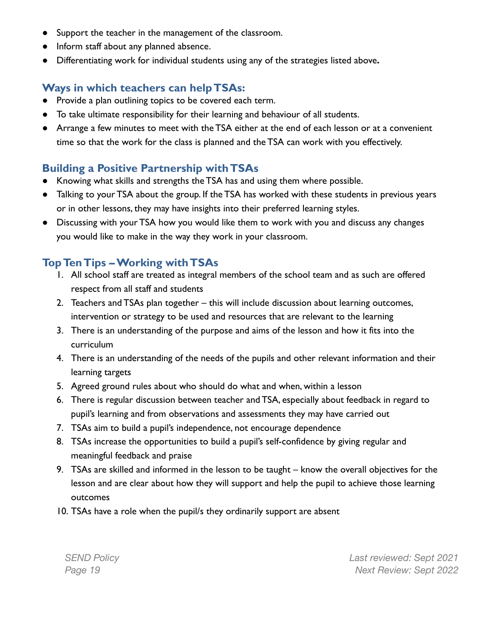- Support the teacher in the management of the classroom.
- Inform staff about any planned absence.
- **●** Differentiating work for individual students using any of the strategies listed above**.**

#### **Ways in which teachers can helpTSAs:**

- Provide a plan outlining topics to be covered each term.
- To take ultimate responsibility for their learning and behaviour of all students.
- Arrange a few minutes to meet with the TSA either at the end of each lesson or at a convenient time so that the work for the class is planned and the TSA can work with you effectively.

#### **Building a Positive Partnership withTSAs**

- Knowing what skills and strengths the TSA has and using them where possible.
- Talking to your TSA about the group. If the TSA has worked with these students in previous years or in other lessons, they may have insights into their preferred learning styles.
- Discussing with your TSA how you would like them to work with you and discuss any changes you would like to make in the way they work in your classroom.

#### **TopTenTips –Working withTSAs**

- 1. All school staff are treated as integral members of the school team and as such are offered respect from all staff and students
- 2. Teachers and TSAs plan together this will include discussion about learning outcomes, intervention or strategy to be used and resources that are relevant to the learning
- 3. There is an understanding of the purpose and aims of the lesson and how it fits into the curriculum
- 4. There is an understanding of the needs of the pupils and other relevant information and their learning targets
- 5. Agreed ground rules about who should do what and when, within a lesson
- 6. There is regular discussion between teacher and TSA, especially about feedback in regard to pupil's learning and from observations and assessments they may have carried out
- 7. TSAs aim to build a pupil's independence, not encourage dependence
- 8. TSAs increase the opportunities to build a pupil's self-confidence by giving regular and meaningful feedback and praise
- 9. TSAs are skilled and informed in the lesson to be taught know the overall objectives for the lesson and are clear about how they will support and help the pupil to achieve those learning outcomes
- 10. TSAs have a role when the pupil/s they ordinarily support are absent

*SEND Policy Last reviewed: Sept 2021 Page 19 Next Review: Sept 2022*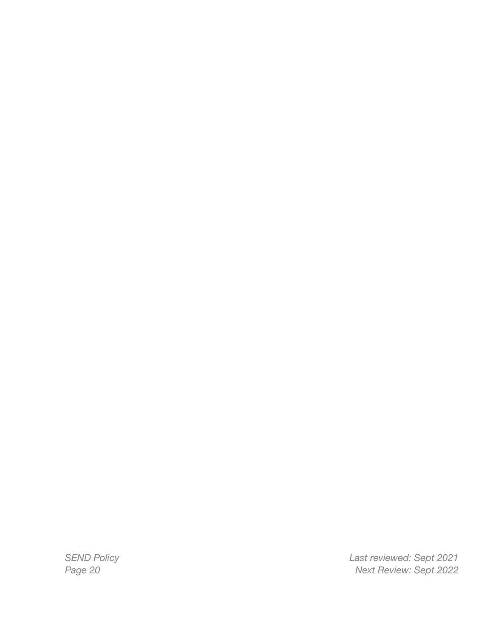*SEND Policy Last reviewed: Sept 2021 Page 20 Next Review: Sept 2022*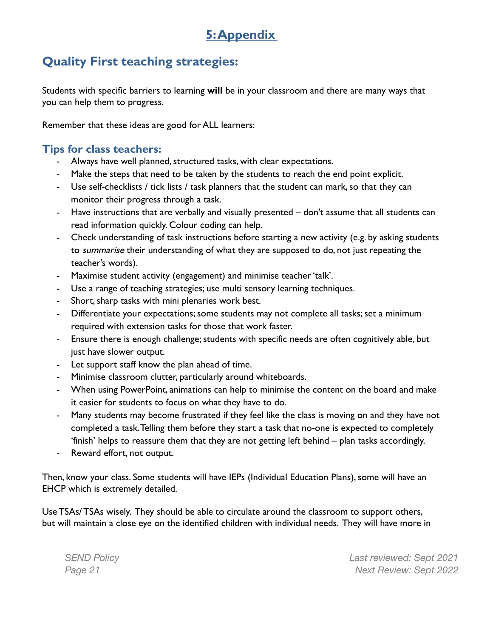# **5:Appendix**

## **Quality First teaching strategies:**

Students with specific barriers to learning **will** be in your classroom and there are many ways that you can help them to progress.

Remember that these ideas are good for ALL learners:

#### **Tips for class teachers:**

- Always have well planned, structured tasks, with clear expectations.
- Make the steps that need to be taken by the students to reach the end point explicit.
- Use self-checklists / tick lists / task planners that the student can mark, so that they can monitor their progress through a task.
- Have instructions that are verbally and visually presented don't assume that all students can read information quickly. Colour coding can help.
- Check understanding of task instructions before starting a new activity (e.g. by asking students to *summarise* their understanding of what they are supposed to do, not just repeating the teacher's words).
- Maximise student activity (engagement) and minimise teacher 'talk'.
- Use a range of teaching strategies; use multi sensory learning techniques.
- Short, sharp tasks with mini plenaries work best.
- Differentiate your expectations; some students may not complete all tasks; set a minimum required with extension tasks for those that work faster.
- Ensure there is enough challenge; students with specific needs are often cognitively able, but just have slower output.
- Let support staff know the plan ahead of time.
- Minimise classroom clutter, particularly around whiteboards.
- When using PowerPoint, animations can help to minimise the content on the board and make it easier for students to focus on what they have to do.
- Many students may become frustrated if they feel like the class is moving on and they have not completed a task.Telling them before they start a task that no-one is expected to completely 'finish' helps to reassure them that they are not getting left behind – plan tasks accordingly.
- Reward effort, not output.

Then, know your class. Some students will have IEPs (Individual Education Plans), some will have an EHCP which is extremely detailed.

Use TSAs/ TSAs wisely. They should be able to circulate around the classroom to support others, but will maintain a close eye on the identified children with individual needs. They will have more in

*SEND Policy Last reviewed: Sept 2021 Page 21 Next Review: Sept 2022*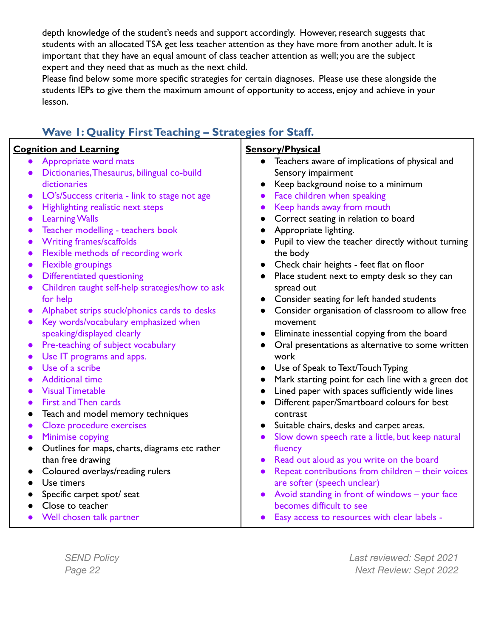depth knowledge of the student's needs and support accordingly. However, research suggests that students with an allocated TSA get less teacher attention as they have more from another adult. It is important that they have an equal amount of class teacher attention as well; you are the subject expert and they need that as much as the next child.

Please find below some more specific strategies for certain diagnoses. Please use these alongside the students IEPs to give them the maximum amount of opportunity to access, enjoy and achieve in your lesson.

### **Wave 1: Quality FirstTeaching – Strategies for Staff.**

#### **Cognition and Learning**

- Appropriate word mats
- Dictionaries,Thesaurus, bilingual co-build dictionaries
- LO's/Success criteria link to stage not age
- Highlighting realistic next steps
- Learning Walls
- Teacher modelling teachers book
- Writing frames/scaffolds
- Flexible methods of recording work
- Flexible groupings
- Differentiated questioning
- Children taught self-help strategies/how to ask for help
- Alphabet strips stuck/phonics cards to desks
- Key words/vocabulary emphasized when speaking/displayed clearly
- Pre-teaching of subject vocabulary
- Use IT programs and apps.
- Use of a scribe
- Additional time
- Visual Timetable
- First and Then cards
- Teach and model memory techniques
- Cloze procedure exercises
- Minimise copying
- Outlines for maps, charts, diagrams etc rather than free drawing
- Coloured overlays/reading rulers
- Use timers
- Specific carpet spot/ seat
- Close to teacher
- Well chosen talk partner

#### **Sensory/Physical**

- Teachers aware of implications of physical and Sensory impairment
- Keep background noise to a minimum
- Face children when speaking
- Keep hands away from mouth
- Correct seating in relation to board
- Appropriate lighting.
- Pupil to view the teacher directly without turning the body
- Check chair heights feet flat on floor
- Place student next to empty desk so they can spread out
- Consider seating for left handed students
- Consider organisation of classroom to allow free movement
- Eliminate inessential copying from the board
- Oral presentations as alternative to some written work
- Use of Speak to Text/Touch Typing
- Mark starting point for each line with a green dot
- Lined paper with spaces sufficiently wide lines
- Different paper/Smartboard colours for best contrast
- Suitable chairs, desks and carpet areas.
- Slow down speech rate a little, but keep natural fluency
- Read out aloud as you write on the board
- Repeat contributions from children their voices are softer (speech unclear)
- Avoid standing in front of windows your face becomes difficult to see
- Easy access to resources with clear labels -

*SEND Policy Last reviewed: Sept 2021 Page 22 Next Review: Sept 2022*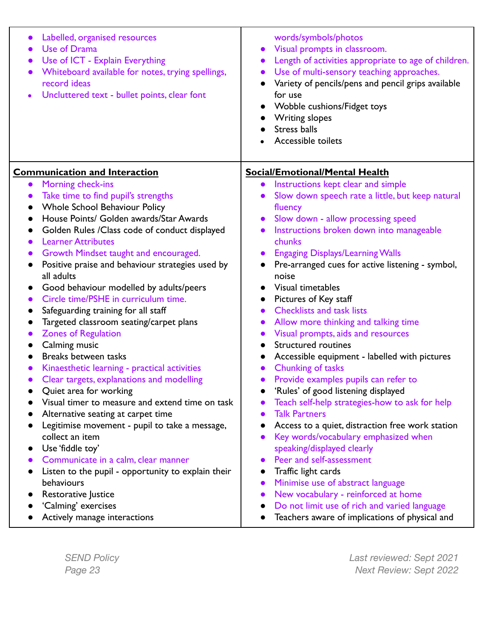| Labelled, organised resources<br><b>Use of Drama</b><br>Use of ICT - Explain Everything<br>Whiteboard available for notes, trying spellings,<br>record ideas<br>Uncluttered text - bullet points, clear font                                                                                                                                                                                                                                                                                                                                                                                                                                                                                                                                                                                                                                                                                                                                                                                                                                                                                                                                                                          | words/symbols/photos<br>Visual prompts in classroom.<br>$\bullet$<br>Length of activities appropriate to age of children.<br>Use of multi-sensory teaching approaches.<br>Variety of pencils/pens and pencil grips available<br>for use<br>Wobble cushions/Fidget toys<br><b>Writing slopes</b><br><b>Stress balls</b><br>Accessible toilets                                                                                                                                                                                                                                                                                                                                                                                                                                                                                                                                                                                                                                                                                                                                                                                                                           |
|---------------------------------------------------------------------------------------------------------------------------------------------------------------------------------------------------------------------------------------------------------------------------------------------------------------------------------------------------------------------------------------------------------------------------------------------------------------------------------------------------------------------------------------------------------------------------------------------------------------------------------------------------------------------------------------------------------------------------------------------------------------------------------------------------------------------------------------------------------------------------------------------------------------------------------------------------------------------------------------------------------------------------------------------------------------------------------------------------------------------------------------------------------------------------------------|------------------------------------------------------------------------------------------------------------------------------------------------------------------------------------------------------------------------------------------------------------------------------------------------------------------------------------------------------------------------------------------------------------------------------------------------------------------------------------------------------------------------------------------------------------------------------------------------------------------------------------------------------------------------------------------------------------------------------------------------------------------------------------------------------------------------------------------------------------------------------------------------------------------------------------------------------------------------------------------------------------------------------------------------------------------------------------------------------------------------------------------------------------------------|
| <b>Communication and Interaction</b><br>Morning check-ins<br>$\bullet$<br>Take time to find pupil's strengths<br>Whole School Behaviour Policy<br>$\bullet$<br>House Points/ Golden awards/Star Awards<br>$\bullet$<br>Golden Rules / Class code of conduct displayed<br><b>Learner Attributes</b><br>Growth Mindset taught and encouraged.<br>Positive praise and behaviour strategies used by<br>all adults<br>Good behaviour modelled by adults/peers<br>Circle time/PSHE in curriculum time.<br>Safeguarding training for all staff<br>$\bullet$<br>Targeted classroom seating/carpet plans<br><b>Zones of Regulation</b><br>Calming music<br>$\bullet$<br>Breaks between tasks<br>Kinaesthetic learning - practical activities<br>Clear targets, explanations and modelling<br>Quiet area for working<br>Visual timer to measure and extend time on task<br>Alternative seating at carpet time<br>Legitimise movement - pupil to take a message,<br>collect an item<br>Use 'fiddle toy'<br>Communicate in a calm, clear manner<br>Listen to the pupil - opportunity to explain their<br>behaviours<br>Restorative Justice<br>'Calming' exercises<br>Actively manage interactions | <b>Social/Emotional/Mental Health</b><br>Instructions kept clear and simple<br>$\bullet$<br>Slow down speech rate a little, but keep natural<br>fluency<br>Slow down - allow processing speed<br>Instructions broken down into manageable<br>chunks<br><b>Engaging Displays/Learning Walls</b><br>Pre-arranged cues for active listening - symbol,<br>noise<br>Visual timetables<br>Pictures of Key staff<br>$\bullet$<br><b>Checklists and task lists</b><br>Allow more thinking and talking time<br>Visual prompts, aids and resources<br>Structured routines<br>$\bullet$<br>Accessible equipment - labelled with pictures<br>Chunking of tasks<br>Provide examples pupils can refer to<br>'Rules' of good listening displayed<br>Teach self-help strategies-how to ask for help<br><b>Talk Partners</b><br>Access to a quiet, distraction free work station<br>Key words/vocabulary emphasized when<br>speaking/displayed clearly<br>Peer and self-assessment<br>Traffic light cards<br>Minimise use of abstract language<br>New vocabulary - reinforced at home<br>Do not limit use of rich and varied language<br>Teachers aware of implications of physical and |

*SEND Policy Last reviewed: Sept 2021 Page 23 Next Review: Sept 2022*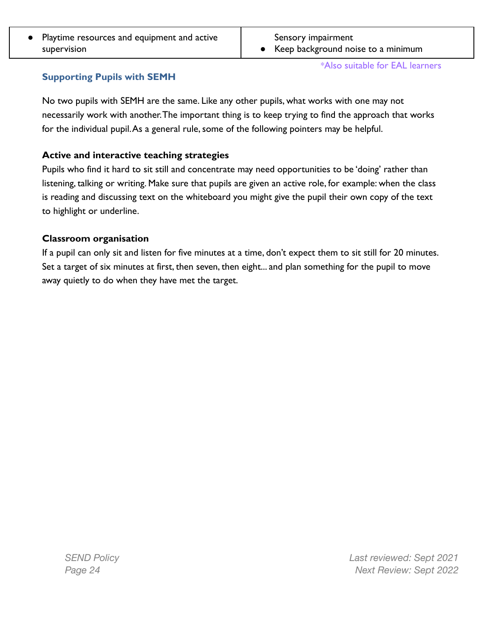● Playtime resources and equipment and active supervision

# Sensory impairment

Keep background noise to a minimum

\*Also suitable for EAL learners

#### **Supporting Pupils with SEMH**

No two pupils with SEMH are the same. Like any other pupils, what works with one may not necessarily work with another.The important thing is to keep trying to find the approach that works for the individual pupil.As a general rule, some of the following pointers may be helpful.

#### **Active and interactive teaching strategies**

Pupils who find it hard to sit still and concentrate may need opportunities to be 'doing' rather than listening, talking or writing. Make sure that pupils are given an active role, for example: when the class is reading and discussing text on the whiteboard you might give the pupil their own copy of the text to highlight or underline.

#### **Classroom organisation**

If a pupil can only sit and listen for five minutes at a time, don't expect them to sit still for 20 minutes. Set a target of six minutes at first, then seven, then eight... and plan something for the pupil to move away quietly to do when they have met the target.

*SEND Policy Last reviewed: Sept 2021 Page 24 Next Review: Sept 2022*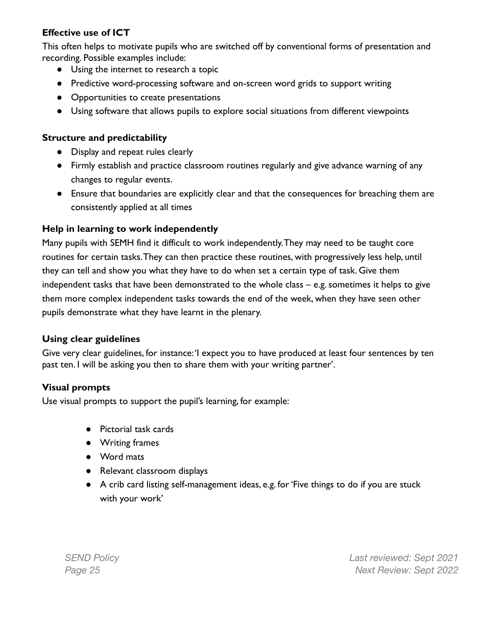#### **Effective use of ICT**

This often helps to motivate pupils who are switched off by conventional forms of presentation and recording. Possible examples include:

- Using the internet to research a topic
- Predictive word-processing software and on-screen word grids to support writing
- Opportunities to create presentations
- Using software that allows pupils to explore social situations from different viewpoints

#### **Structure and predictability**

- Display and repeat rules clearly
- Firmly establish and practice classroom routines regularly and give advance warning of any changes to regular events.
- Ensure that boundaries are explicitly clear and that the consequences for breaching them are consistently applied at all times

#### **Help in learning to work independently**

Many pupils with SEMH find it difficult to work independently.They may need to be taught core routines for certain tasks.They can then practice these routines, with progressively less help, until they can tell and show you what they have to do when set a certain type of task. Give them independent tasks that have been demonstrated to the whole class – e.g. sometimes it helps to give them more complex independent tasks towards the end of the week, when they have seen other pupils demonstrate what they have learnt in the plenary.

#### **Using clear guidelines**

Give very clear guidelines, for instance:'I expect you to have produced at least four sentences by ten past ten. I will be asking you then to share them with your writing partner'.

#### **Visual prompts**

Use visual prompts to support the pupil's learning, for example:

- Pictorial task cards
- Writing frames
- Word mats
- Relevant classroom displays
- A crib card listing self-management ideas, e.g. for 'Five things to do if you are stuck with your work'

*SEND Policy Last reviewed: Sept 2021 Page 25 Next Review: Sept 2022*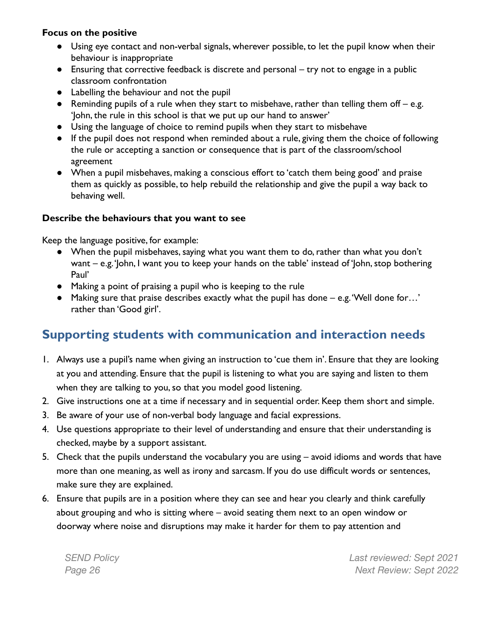#### **Focus on the positive**

- Using eye contact and non-verbal signals, wherever possible, to let the pupil know when their behaviour is inappropriate
- Ensuring that corrective feedback is discrete and personal try not to engage in a public classroom confrontation
- Labelling the behaviour and not the pupil
- $\bullet$  Reminding pupils of a rule when they start to misbehave, rather than telling them off e.g. 'John, the rule in this school is that we put up our hand to answer'
- Using the language of choice to remind pupils when they start to misbehave
- If the pupil does not respond when reminded about a rule, giving them the choice of following the rule or accepting a sanction or consequence that is part of the classroom/school agreement
- When a pupil misbehaves, making a conscious effort to 'catch them being good' and praise them as quickly as possible, to help rebuild the relationship and give the pupil a way back to behaving well.

#### **Describe the behaviours that you want to see**

Keep the language positive, for example:

- When the pupil misbehaves, saying what you want them to do, rather than what you don't want – e.g. 'John, I want you to keep your hands on the table' instead of 'John, stop bothering Paul'
- Making a point of praising a pupil who is keeping to the rule
- Making sure that praise describes exactly what the pupil has done e.g.'Well done for…' rather than 'Good girl'.

### **Supporting students with communication and interaction needs**

- 1. Always use a pupil's name when giving an instruction to 'cue them in'. Ensure that they are looking at you and attending. Ensure that the pupil is listening to what you are saying and listen to them when they are talking to you, so that you model good listening.
- 2. Give instructions one at a time if necessary and in sequential order. Keep them short and simple.
- 3. Be aware of your use of non-verbal body language and facial expressions.
- 4. Use questions appropriate to their level of understanding and ensure that their understanding is checked, maybe by a support assistant.
- 5. Check that the pupils understand the vocabulary you are using avoid idioms and words that have more than one meaning, as well as irony and sarcasm. If you do use difficult words or sentences, make sure they are explained.
- 6. Ensure that pupils are in a position where they can see and hear you clearly and think carefully about grouping and who is sitting where – avoid seating them next to an open window or doorway where noise and disruptions may make it harder for them to pay attention and

*SEND Policy Last reviewed: Sept 2021 Page 26 Next Review: Sept 2022*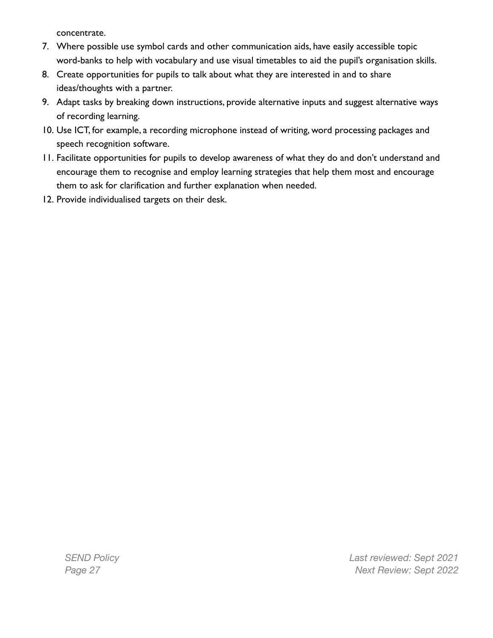concentrate.

- 7. Where possible use symbol cards and other communication aids, have easily accessible topic word-banks to help with vocabulary and use visual timetables to aid the pupil's organisation skills.
- 8. Create opportunities for pupils to talk about what they are interested in and to share ideas/thoughts with a partner.
- 9. Adapt tasks by breaking down instructions, provide alternative inputs and suggest alternative ways of recording learning.
- 10. Use ICT, for example, a recording microphone instead of writing, word processing packages and speech recognition software.
- 11. Facilitate opportunities for pupils to develop awareness of what they do and don't understand and encourage them to recognise and employ learning strategies that help them most and encourage them to ask for clarification and further explanation when needed.
- 12. Provide individualised targets on their desk.

*SEND Policy Last reviewed: Sept 2021 Page 27 Next Review: Sept 2022*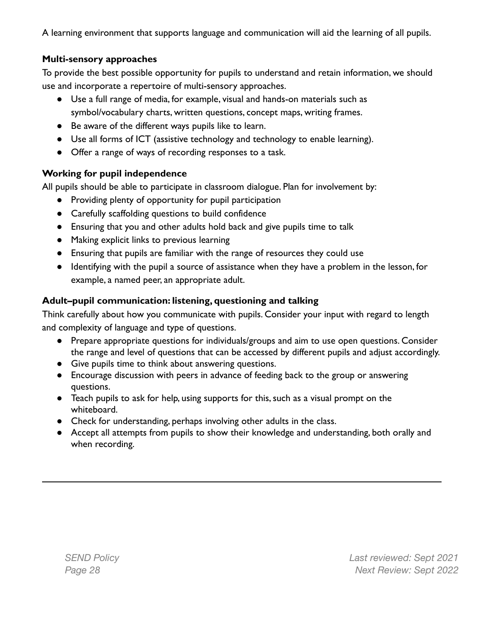A learning environment that supports language and communication will aid the learning of all pupils.

#### **Multi-sensory approaches**

To provide the best possible opportunity for pupils to understand and retain information, we should use and incorporate a repertoire of multi-sensory approaches.

- **●** Use a full range of media, for example, visual and hands-on materials such as symbol/vocabulary charts, written questions, concept maps, writing frames.
- **●** Be aware of the different ways pupils like to learn.
- **●** Use all forms of ICT (assistive technology and technology to enable learning).
- **●** Offer a range of ways of recording responses to a task.

#### **Working for pupil independence**

All pupils should be able to participate in classroom dialogue. Plan for involvement by:

- Providing plenty of opportunity for pupil participation
- Carefully scaffolding questions to build confidence
- Ensuring that you and other adults hold back and give pupils time to talk
- Making explicit links to previous learning
- Ensuring that pupils are familiar with the range of resources they could use
- Identifying with the pupil a source of assistance when they have a problem in the lesson, for example, a named peer, an appropriate adult.

#### **Adult–pupil communication: listening, questioning and talking**

Think carefully about how you communicate with pupils. Consider your input with regard to length and complexity of language and type of questions.

- Prepare appropriate questions for individuals/groups and aim to use open questions. Consider the range and level of questions that can be accessed by different pupils and adjust accordingly.
- Give pupils time to think about answering questions.
- Encourage discussion with peers in advance of feeding back to the group or answering questions.
- Teach pupils to ask for help, using supports for this, such as a visual prompt on the whiteboard.
- Check for understanding, perhaps involving other adults in the class.
- Accept all attempts from pupils to show their knowledge and understanding, both orally and when recording.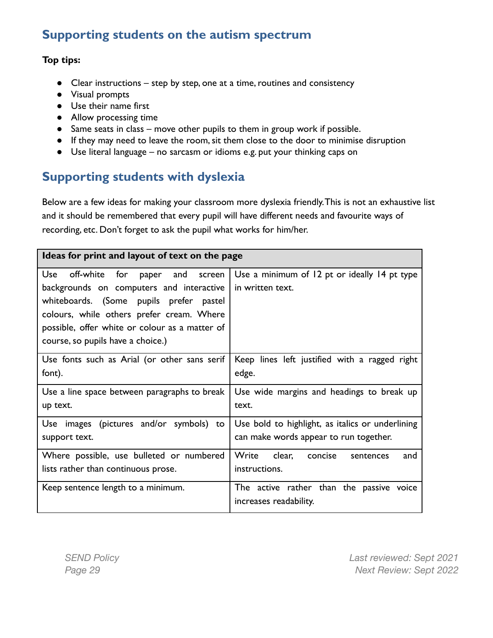### **Supporting students on the autism spectrum**

#### **Top tips:**

- Clear instructions step by step, one at a time, routines and consistency
- Visual prompts
- Use their name first
- Allow processing time
- Same seats in class move other pupils to them in group work if possible.
- If they may need to leave the room, sit them close to the door to minimise disruption
- Use literal language no sarcasm or idioms e.g. put your thinking caps on

## **Supporting students with dyslexia**

Below are a few ideas for making your classroom more dyslexia friendly.This is not an exhaustive list and it should be remembered that every pupil will have different needs and favourite ways of recording, etc. Don't forget to ask the pupil what works for him/her.

| Ideas for print and layout of text on the page                                      |                                                  |  |
|-------------------------------------------------------------------------------------|--------------------------------------------------|--|
| off-white for<br>Use<br>paper and screen                                            | Use a minimum of 12 pt or ideally 14 pt type     |  |
| backgrounds on computers and interactive<br>whiteboards. (Some pupils prefer pastel | in written text.                                 |  |
| colours, while others prefer cream. Where                                           |                                                  |  |
| possible, offer white or colour as a matter of                                      |                                                  |  |
| course, so pupils have a choice.)                                                   |                                                  |  |
| Use fonts such as Arial (or other sans serif                                        | Keep lines left justified with a ragged right    |  |
| font).                                                                              | edge.                                            |  |
| Use a line space between paragraphs to break                                        | Use wide margins and headings to break up        |  |
| up text.                                                                            | text.                                            |  |
| Use images (pictures and/or symbols) to                                             | Use bold to highlight, as italics or underlining |  |
| support text.                                                                       | can make words appear to run together.           |  |
| Where possible, use bulleted or numbered                                            | Write<br>clear.<br>concise<br>and<br>sentences   |  |
| lists rather than continuous prose.                                                 | instructions.                                    |  |
| Keep sentence length to a minimum.                                                  | The active rather than the passive voice         |  |
|                                                                                     | increases readability.                           |  |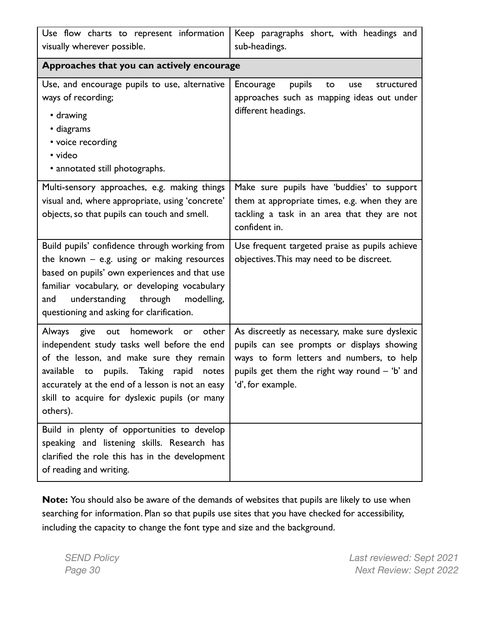| Use flow charts to represent information<br>visually wherever possible.                                                                                                                                                                                                                                 | Keep paragraphs short, with headings and<br>sub-headings.                                                                                                                                                       |
|---------------------------------------------------------------------------------------------------------------------------------------------------------------------------------------------------------------------------------------------------------------------------------------------------------|-----------------------------------------------------------------------------------------------------------------------------------------------------------------------------------------------------------------|
| Approaches that you can actively encourage                                                                                                                                                                                                                                                              |                                                                                                                                                                                                                 |
| Use, and encourage pupils to use, alternative<br>ways of recording;<br>• drawing<br>• diagrams<br>• voice recording<br>• video<br>• annotated still photographs.                                                                                                                                        | pupils<br>Encourage<br>structured<br>to<br>use<br>approaches such as mapping ideas out under<br>different headings.                                                                                             |
| Multi-sensory approaches, e.g. making things<br>visual and, where appropriate, using 'concrete'<br>objects, so that pupils can touch and smell.                                                                                                                                                         | Make sure pupils have 'buddies' to support<br>them at appropriate times, e.g. when they are<br>tackling a task in an area that they are not<br>confident in.                                                    |
| Build pupils' confidence through working from<br>the known $-$ e.g. using or making resources<br>based on pupils' own experiences and that use<br>familiar vocabulary, or developing vocabulary<br>and<br>understanding through<br>modelling,<br>questioning and asking for clarification.              | Use frequent targeted praise as pupils achieve<br>objectives. This may need to be discreet.                                                                                                                     |
| homework or<br>other<br>Always give<br>out<br>independent study tasks well before the end<br>of the lesson, and make sure they remain<br>pupils. Taking rapid<br>available to<br>notes<br>accurately at the end of a lesson is not an easy<br>skill to acquire for dyslexic pupils (or many<br>others). | As discreetly as necessary, make sure dyslexic<br>pupils can see prompts or displays showing<br>ways to form letters and numbers, to help<br>pupils get them the right way round - 'b' and<br>'d', for example. |
| Build in plenty of opportunities to develop<br>speaking and listening skills. Research has<br>clarified the role this has in the development<br>of reading and writing.                                                                                                                                 |                                                                                                                                                                                                                 |

**Note:** You should also be aware of the demands of websites that pupils are likely to use when searching for information. Plan so that pupils use sites that you have checked for accessibility, including the capacity to change the font type and size and the background.

*SEND Policy Last reviewed: Sept 2021 Page 30 Next Review: Sept 2022*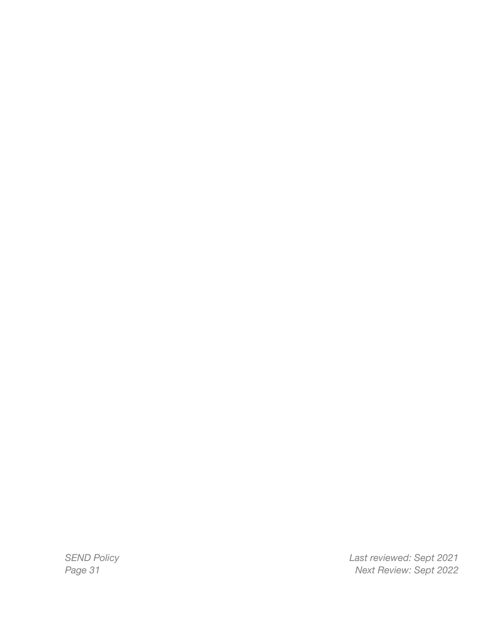*SEND Policy Last reviewed: Sept 2021 Page 31 Next Review: Sept 2022*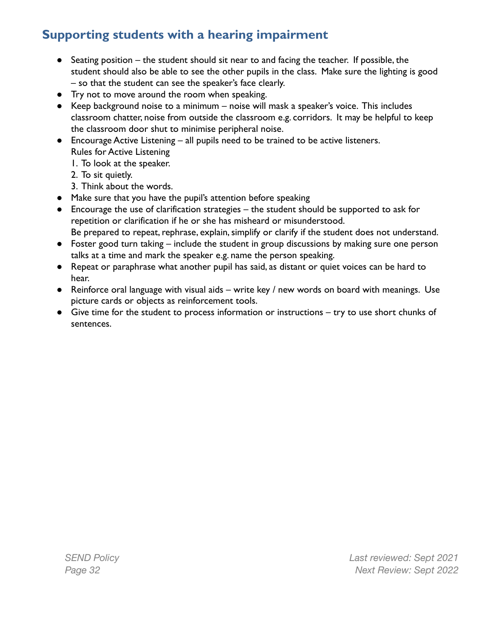# **Supporting students with a hearing impairment**

- Seating position the student should sit near to and facing the teacher. If possible, the student should also be able to see the other pupils in the class. Make sure the lighting is good – so that the student can see the speaker's face clearly.
- Try not to move around the room when speaking.
- Keep background noise to a minimum noise will mask a speaker's voice. This includes classroom chatter, noise from outside the classroom e.g. corridors. It may be helpful to keep the classroom door shut to minimise peripheral noise.
- Encourage Active Listening all pupils need to be trained to be active listeners. Rules for Active Listening
	- 1. To look at the speaker.
	- 2. To sit quietly.
	- 3. Think about the words.
- Make sure that you have the pupil's attention before speaking
- Encourage the use of clarification strategies the student should be supported to ask for repetition or clarification if he or she has misheard or misunderstood. Be prepared to repeat, rephrase, explain, simplify or clarify if the student does not understand.
- Foster good turn taking include the student in group discussions by making sure one person talks at a time and mark the speaker e.g. name the person speaking.
- Repeat or paraphrase what another pupil has said, as distant or quiet voices can be hard to hear.
- Reinforce oral language with visual aids write key / new words on board with meanings. Use picture cards or objects as reinforcement tools.
- Give time for the student to process information or instructions try to use short chunks of sentences.

*SEND Policy Last reviewed: Sept 2021 Page 32 Next Review: Sept 2022*